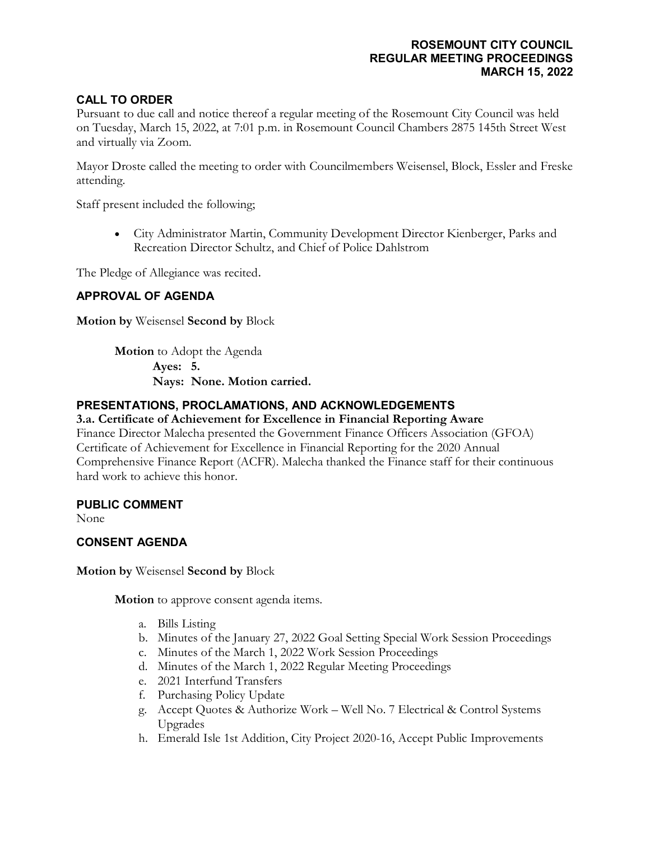#### **ROSEMOUNT CITY COUNCIL REGULAR MEETING PROCEEDINGS MARCH 15, 2022**

## **CALL TO ORDER**

Pursuant to due call and notice thereof a regular meeting of the Rosemount City Council was held on Tuesday, March 15, 2022, at 7:01 p.m. in Rosemount Council Chambers 2875 145th Street West and virtually via Zoom.

Mayor Droste called the meeting to order with Councilmembers Weisensel, Block, Essler and Freske attending.

Staff present included the following;

• City Administrator Martin, Community Development Director Kienberger, Parks and Recreation Director Schultz, and Chief of Police Dahlstrom

The Pledge of Allegiance was recited.

### **APPROVAL OF AGENDA**

**Motion by** Weisensel **Second by** Block

**Motion** to Adopt the Agenda **Ayes: 5. Nays: None. Motion carried.**

### **PRESENTATIONS, PROCLAMATIONS, AND ACKNOWLEDGEMENTS**

#### **3.a. Certificate of Achievement for Excellence in Financial Reporting Aware**

Finance Director Malecha presented the Government Finance Officers Association (GFOA) Certificate of Achievement for Excellence in Financial Reporting for the 2020 Annual Comprehensive Finance Report (ACFR). Malecha thanked the Finance staff for their continuous hard work to achieve this honor.

#### **PUBLIC COMMENT**

None

#### **CONSENT AGENDA**

**Motion by** Weisensel **Second by** Block

**Motion** to approve consent agenda items.

- a. Bills Listing
- b. Minutes of the January 27, 2022 Goal Setting Special Work Session Proceedings
- c. Minutes of the March 1, 2022 Work Session Proceedings
- d. Minutes of the March 1, 2022 Regular Meeting Proceedings
- e. 2021 Interfund Transfers
- f. Purchasing Policy Update
- g. Accept Quotes & Authorize Work Well No. 7 Electrical & Control Systems Upgrades
- h. Emerald Isle 1st Addition, City Project 2020-16, Accept Public Improvements